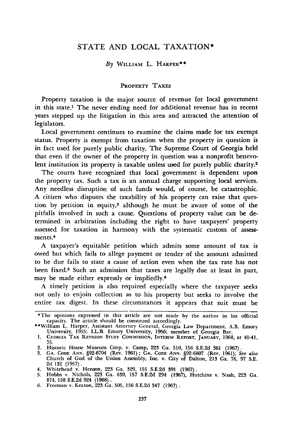# STATE AND LOCAL TAXATION\*

### *By* WILLIAM L. HARPER\*\*

### PROPERTY TAXES

Property taxation is the major source of revenue for local government in this state.' The never ending need for additional revenue has in recent years stepped up the litigation in this area and attracted the attention of legislators.

Local government continues to examine the claims made for tax exempt status. Property is exempt from taxation when the property in question is in fact used for purely public charity. The Supreme Court of Georgia held that even if the owner of the property in question was a nonprofit benevolent institution its property is taxable unless used for purely public charity.<sup>2</sup>

The courts have recognized that local government is dependent upon the property tax. Such a tax is an annual charge supporting local services. Any needless disruption of such funds would, of course, be catastrophic. A citizen who disputes the taxability of his property can raise that question by petition in equity,3 although he must be aware of some of the pitfalls involved in such a cause. Questions of property value can be determined in arbitration including the right to have taxpayers' property assessed for taxation in harmony with the systematic custom of assessments. 4

A taxpayer's equitable petition which admits some amount of tax is owed but which fails to allege payment or tender of the amount admitted to be due fails to state a cause of action even when the tax rate has not been fixed.<sup>5</sup> Such an admission that taxes are legally due at least in part, may be made either expressly or impliedly.6

A timely petition is also required especially where the taxpayer seeks not only to enjoin collection as to his property but seeks to involve the entire tax digest. In these circumstances it appears that suit must be

<sup>\*</sup>The opinions expressed in this article are not made by the author in his official capacity. The article should be construed accordingly. "William L. Harper, Assistant Attorney General, Georgia Law Department, A.B. Emory

University, 1955; LL.B. Emory University, 1956; member of Georgia Bar. **1. GEORGIA TAX** REVISION **STUDY COMMISSION, INTERIM** REPORT, **JANUARY, 1968,** at 4041,

**<sup>75.</sup>**

<sup>2.</sup> Historic House Museum Corp. v. Camp, 223 Ga. 510, 156 S.E.2d 361 (1967).<br>3. GA. Code ANN. §92-6704 (Rev. 1961); GA. Code ANN. §92-6807 (Rev. 1961); See also<br>Church of God of the Union Assembly, Inc. v. City of Dalton. 2 2d 132 (1957).

<sup>4.</sup> Whitehead v. Henson, 223 Ga. 329, 155 S.E.2d 391 **(1967).** 5. Hobbs v. Nichols, 223 Ga. 639, 157 S.E.2d 294 (1967), Hutchins v. Nash, 223 Ga. 874, 158 S.E.2d 924 (1968). 6. Freeman v. Keaton, 223 Ga. 505, 156 S.E.2d 347 (1967).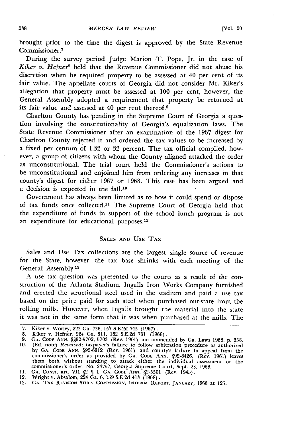brought prior to the time the digest is approved **by** the State Revenue Commissioner.<sup>7</sup>

During the survey period Judge Marion T. Pope, Jr. in the case of *Kiker v. Hefner8* held that the Revenue Commissioner did not abuse his discretion when he required property to be assessed at 40 per cent of its fair value. The appellate courts of Georgia did not consider Mr. Kiker's allegation that property must be assessed at 100 per cent, however, the General Assembly adopted a requirement that property be returned at its fair value and assessed at  $40$  per cent thereof.<sup>9</sup>

Charlton County has pending in the Supreme Court of Georgia a question involving the constitutionality of Georgia's equalization laws. The State Revenue Commissioner after an examination of the 1967 digest for Charlton County rejected it and ordered the tax values to be increased **by** a fixed per centum of 1.32 or 32 percent. The tax official complied, however, a group of citizens with whom the County aligned attacked the order as unconstitutional. The trial court held the Commissioner's actions to be unconstitutional and enjoined him from ordering any increases in that county's digest for either 1967 or 1968. This case has been argued and a decision is expected in the fall.<sup>10</sup>

Government has always been limited as to how it could spend or dispose of tax funds once collected.<sup>11</sup> The Supreme Court of Georgia held that the expenditure of funds in support of the school lunch program is not an expenditure for educational purposes.<sup>12</sup>

## **SALES AND** USE **TAX**

Sales and Use Tax collections are the largest single source of revenue for the State, however, the tax base shrinks with each meeting of the General Assembly.<sup>13</sup>

**A** use tax question was presented to the courts as a result of the construction of the Atlanta Stadium. Ingalls Iron Works Company furnished and erected the structional steel used in the stadium and paid a use tax based on the price paid for such steel when purchased out-state from the rolling mills. However, when Ingalls brought the material into the state it was not in the same form that it was when purchased at the mills. The

<sup>7.</sup> Kiker v. Worley, **223** Ga. **736, 157** S.E.2d 745 (1967).

<sup>8.</sup> Kiker v. Hefner, 224 Ga. 511, 162 S.E.2d 731 (1968).<br>9. GA. CODE ANN. §§92-5702, 5703 (Rev. 1961) am ammended by Ga. Laws 1968, p. 358<br>10. (Ed. note) *Reversed;* taxpayer's failure to follow arbitration procedure as aut by **GA. CODE ANN.** §92-6912 (Rev. 1961) and county's failure to appeal from the commissioner's order as provided **by GA. CODE ANN.** §92-8426, (Rev. 1961) leaves them both without standing to attack either the individual assessment or the<br>commissioner's order. No. 24757, Georgia Supreme Court, Sept. 23, 1968.<br>11. GA. CONST. art. VII §2  $\P$  1, GA. CODE ANN. §2-5501 (Rev. 1945).

<sup>12.</sup> Wright v. Absalom, 224 Ga. **6, 159** S.E.2d 413 (1968).

**<sup>13.</sup> GA. TAX REVISION STUDY COMMISSION, INTERIM REPORT, JANUARY,** 1968 at **125.**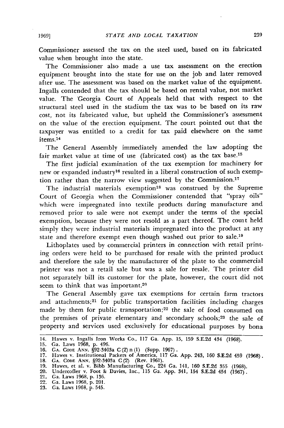Commissioner assessed the tax on the steel used, based on its fabricated value when brought into the state.

The Commissioner also made a use tax assessment on the erection equipment brought into the state for use on the job and later removed after use. The assessment was based on the market value of the equipment. Ingalls contended that the tax should be based on rental value, not market value. The 'Georgia Court of Appeals held that with respect to the structural steel used in the stadium the tax was to be based on its raw cost, not its fabricated value, but upheld the Commissioner's assessment on the value of the erection equipment. The court pointed out that the taxpayer was entitled to a credit for tax paid elsewhere on the same items.14

The General Assembly immediately amended the law adopting the fair market value at time of use (fabricated cost) as the tax base.<sup>15</sup>

The first judicial examination of the tax exemption for machinery for new or expanded industry16 resulted in a liberal construction of such exemption rather than the narrow view suggested by the Commission. $17$ 

The industrial materials exemption<sup>18</sup> was construed by the Supreme Court of Georgia when the Commissioner contended that "spray oils" which were impregnated into textile products during manufacture and removed prior to sale were not exempt under the terms of the special exemption, because they were not resold as a part thereof. The couit held simply they were industrial materials impregnated into the product at any state and therefore exempt even though washed out prior to sale.<sup>19</sup>

Lithoplates used by commercial printers in connection with retail printing orders were held to be purchased for resale with the printed product and therefore the sale by the manufacturer of the plate to the commercial printer was not a retail sale but was a sale for resale. The printer did not separately bill its customer for the plate, however, the court did not seem to think that was important.<sup>20</sup>

The General Assembly gave tax exemptions for certain farm tractors and attachments;<sup>21</sup> for public transportation facilities including charges made by them for public transportation;<sup>22</sup> the sale of food consumed on the premises of private elementary and secondary schools;<sup>23</sup> the sale of property and services used exclusively for educational purposes by bona

<sup>14.</sup> Hawes v. Ingalls Iron Works Co., 117 Ga. App. 15, 159 S.E.2d 434 (1968).

<sup>15.</sup> Ga. Laws 1968, p. 496.

**<sup>16.</sup> GA. CODE ANN.** §92-3403a C (2)n **(1)** (Supp. **1967).**

**<sup>17.</sup>** Hawes v. Institutional **Packers** of **America, 117 Ga. App.** 243, **160 S.E.2d** 459 **(1968).**

**<sup>18.</sup> GA. CODE ANN.** §92-3403a **C(2) (Rev. 1961).**

**<sup>19.</sup>** Hawes, et al. v. Bibb Manufacturing Co., 224 Ga. 141, **160 S.E.2d 355 (1968).**

<sup>20.</sup> Undercofler v. Foot & Davies, Inc., **115** Ga. **App.** 341, 154 **S.E.2d** 454 **(1967).** 21. Ga. Laws **1968, p. 136.** 22. Ga. Laws **1968, p.** 201.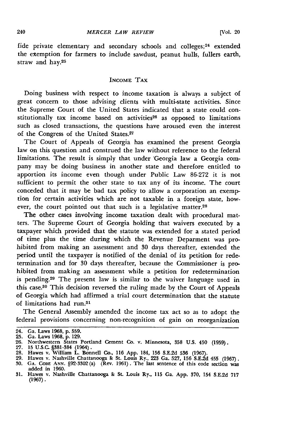fide private elementary and secondary schools and colleges; $24$  extended the exemption for farmers to include sawdust, peanut hulls, fullers earth, straw and hay.<sup>25</sup>

#### INCOME TAX

Doing business with respect to income taxation is always a subject of great concern to those advising clients with multi-state activities. Since the Supreme Court of the United States indicated that a state could constitutionally tax income based on activities<sup>26</sup> as opposed to limitations such as closed transactions, the questions have aroused even the interest of the Congress of the United States.<sup>27</sup>

The Court of Appeals of Georgia has examined the present Georgia law on this question and construed the law without reference to the federal limitations. The result is simply that under 'Georgia law a Georgia company may be doing business in another state and therefore entitled to apportion its income even though under Public Law 86-272 it is not sufficient to permit the other state to tax any of its income. The court conceded that it may be bad tax policy to allow a corporation an exemption for certain activities which are not taxable in a foreign state, however, the court pointed out that such is a legislative matter.<sup>28</sup>

The other cases involving income taxation dealt with procedural matters. The Supreme Court of Georgia holding that waivers executed by a taxpayer which provided that the statute was extended for a stated period of time plus the time during which the Revenue Deparment was prohibited from making an assessment and **30** days thereafter, extended the period until the taxpayer is notified of the denial of its petition for redetermination and for **30** days thereafter, because the Commissioner is prohibited from making an assessment while a petition for redetermination is pending. 29 The present law is similar to the waiver language used in this case.<sup>30</sup> This decision reversed the ruling made by the Court of Appeals of Georgia which had affirmed a trial court determination that the statute of limitations had run.<sup>31</sup>

The General Assembly amended the income tax act so as to adopt the federal provisions concerning non-recognition of gain on reorganization

<sup>24.</sup> Ga. Laws **1968, p. 559.**

<sup>25.</sup> Ga. Laws 1968, p. 129.<br>26. Northwestern States Portland Cement Co. v. Minnesota, 358 U.S. 450 (1959)<br>27. 15 U.S.C. §381-384 (1964).<br>28. Hawes v. William L. Bonnell Co., 116 App. 184, 156 S.E.2d 536 (1967).

<sup>29.</sup> Hawes v. Nashville Chattanooga & St. Louis Ry., 223 Ga. 527, 156 S.E.2d 455 (1967).<br>30. GA. Code Ann. §92-3302 (a) (Rev. 1961). The last sentence of this code section was added in 1960. **31.** Hawes v. Nashville Chattanooga **&** St. Louis Ry., **115** Ga. **App. 370,** 154 **S.E.2d 717**

**<sup>(1967).</sup>**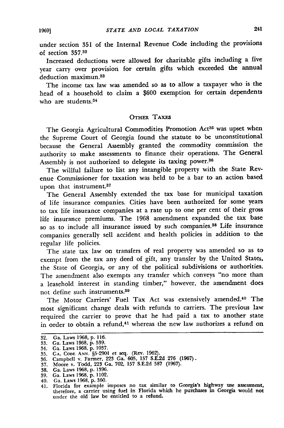under section 351 of the Internal Revenue Code including the provisions of section **357.<sup>3</sup> <sup>2</sup>**

Increased deductions were allowed for charitable gifts including a five year carry over provision for certain gifts which exceeded the annual deduction maximun.<sup>33</sup>

The income tax law was amended so as to allow a taxpayer who is the head of a household to claim a \$600 exemption for certain dependents who are students.<sup>34</sup>

## **OTHER TAXES**

The Georgia Agricultural Commodities Promotion Act<sup>35</sup> was upset when the Supreme Court of Georgia found the statute to be unconstitutional because the General Assembly granted the commodity commission the authority to make assessments to finance their operations. The General Assembly is not authorized to delegate its taxing power.<sup>36</sup>

The willful failure to list any intangible property with the State Revenue Commissioner for taxation was held to be a bar to an action based upon that instrument.<sup>37</sup>

The General Assembly extended the tax base for municipal taxation of life insurance companies. Cities have been authorized for some years to tax life insurance companies at a rate up to one per cent of their gross life insurance premiums. The 1968 amendment expanded the tax base so as to include all insurance issued by such companies.<sup>38</sup> Life insurance companies generally sell accident and health policies in addition to the regular life policies.

The state tax law on transfers of real property was amended so as to exempt from the tax any deed of gift, any transfer **by** the United States, the State of Georgia, or any of the political subdivisions or authorities. The amendment also exempts any transfer which conveys "no more than a leasehold interest in standing timber," however, the amendment does not define such instruments.39

The Motor Carriers' Fuel Tax Act was extensively amended.<sup>40</sup> The most significant change deals with refunds to carriers. The previous law required the carrier to prove that he had paid a tax to another state in order to obtain a refund,<sup>41</sup> whereas the new law authorizes a refund on

<sup>32.</sup> Ga. Laws 1968, p. 116.

**<sup>33.</sup>** Ga. Laws 1968, **p. 539.**

<sup>34.</sup> Ga. Laws **1968. p. 1037. 35. GA. CODE ANN. §5-2901** et seq. (Rev. **1962).**

**<sup>36.</sup>** Campbell v. Farmer, **223** Ga. **605, 157 S.E.2d 276 (1967). 37.** Moore v. Todd, **223** Ga. **702, 157 S.E.2d 587 (1967). 38.** Ga. Laws **1968, p. 1396.**

**<sup>39.</sup>** Ga. Laws **1968, p.** 1102.

<sup>40.</sup> Ga. Laws **1968, p. 360.**

<sup>41.</sup> Florida for example imposes no tax similar to Georgia's highway use assessment, therefore, a carrier using fuel in Florida which he purchases in Georgia would not under the old law be entitled to a refund.